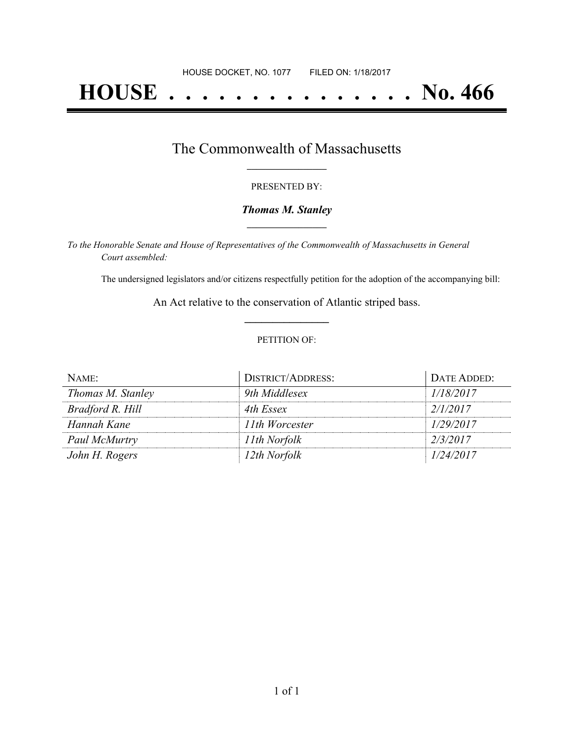# **HOUSE . . . . . . . . . . . . . . . No. 466**

## The Commonwealth of Massachusetts **\_\_\_\_\_\_\_\_\_\_\_\_\_\_\_\_\_**

#### PRESENTED BY:

#### *Thomas M. Stanley* **\_\_\_\_\_\_\_\_\_\_\_\_\_\_\_\_\_**

*To the Honorable Senate and House of Representatives of the Commonwealth of Massachusetts in General Court assembled:*

The undersigned legislators and/or citizens respectfully petition for the adoption of the accompanying bill:

An Act relative to the conservation of Atlantic striped bass. **\_\_\_\_\_\_\_\_\_\_\_\_\_\_\_**

#### PETITION OF:

| NAME:             | <b>DISTRICT/ADDRESS:</b> | DATE ADDED: |
|-------------------|--------------------------|-------------|
| Thomas M. Stanley | 9th Middlesex            | 1/18/2017   |
| Bradford R. Hill  | 4th Essex                | 2/1/2017    |
| Hannah Kane       | 11th Worcester           | 1/29/2017   |
| Paul McMurtry     | 11th Norfolk             | 2/3/2017    |
| John H. Rogers    | 12th Norfolk             | 1/24/2017   |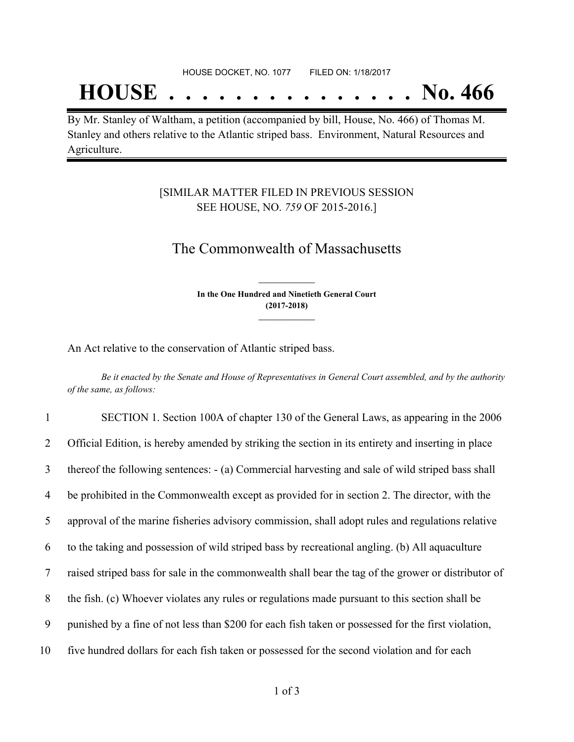#### HOUSE DOCKET, NO. 1077 FILED ON: 1/18/2017

## **HOUSE . . . . . . . . . . . . . . . No. 466**

By Mr. Stanley of Waltham, a petition (accompanied by bill, House, No. 466) of Thomas M. Stanley and others relative to the Atlantic striped bass. Environment, Natural Resources and Agriculture.

### [SIMILAR MATTER FILED IN PREVIOUS SESSION SEE HOUSE, NO. *759* OF 2015-2016.]

## The Commonwealth of Massachusetts

**In the One Hundred and Ninetieth General Court (2017-2018) \_\_\_\_\_\_\_\_\_\_\_\_\_\_\_**

**\_\_\_\_\_\_\_\_\_\_\_\_\_\_\_**

An Act relative to the conservation of Atlantic striped bass.

Be it enacted by the Senate and House of Representatives in General Court assembled, and by the authority *of the same, as follows:*

| $\mathbf{1}$ | SECTION 1. Section 100A of chapter 130 of the General Laws, as appearing in the 2006                |
|--------------|-----------------------------------------------------------------------------------------------------|
| 2            | Official Edition, is hereby amended by striking the section in its entirety and inserting in place  |
| 3            | thereof the following sentences: - (a) Commercial harvesting and sale of wild striped bass shall    |
| 4            | be prohibited in the Commonwealth except as provided for in section 2. The director, with the       |
| 5            | approval of the marine fisheries advisory commission, shall adopt rules and regulations relative    |
| 6            | to the taking and possession of wild striped bass by recreational angling. (b) All aquaculture      |
| 7            | raised striped bass for sale in the commonwealth shall bear the tag of the grower or distributor of |
| 8            | the fish. (c) Whoever violates any rules or regulations made pursuant to this section shall be      |
| 9            | punished by a fine of not less than \$200 for each fish taken or possessed for the first violation, |
| 10           | five hundred dollars for each fish taken or possessed for the second violation and for each         |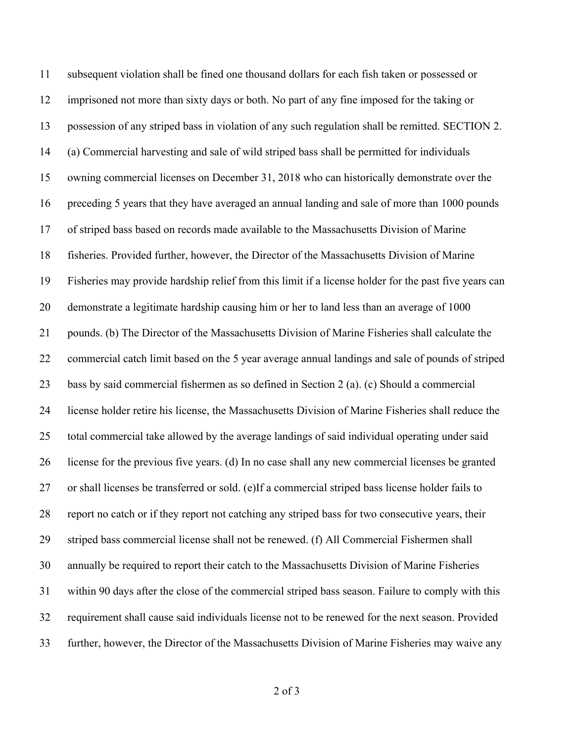subsequent violation shall be fined one thousand dollars for each fish taken or possessed or imprisoned not more than sixty days or both. No part of any fine imposed for the taking or possession of any striped bass in violation of any such regulation shall be remitted. SECTION 2. (a) Commercial harvesting and sale of wild striped bass shall be permitted for individuals owning commercial licenses on December 31, 2018 who can historically demonstrate over the preceding 5 years that they have averaged an annual landing and sale of more than 1000 pounds of striped bass based on records made available to the Massachusetts Division of Marine fisheries. Provided further, however, the Director of the Massachusetts Division of Marine Fisheries may provide hardship relief from this limit if a license holder for the past five years can demonstrate a legitimate hardship causing him or her to land less than an average of 1000 pounds. (b) The Director of the Massachusetts Division of Marine Fisheries shall calculate the commercial catch limit based on the 5 year average annual landings and sale of pounds of striped bass by said commercial fishermen as so defined in Section 2 (a). (c) Should a commercial license holder retire his license, the Massachusetts Division of Marine Fisheries shall reduce the total commercial take allowed by the average landings of said individual operating under said license for the previous five years. (d) In no case shall any new commercial licenses be granted or shall licenses be transferred or sold. (e)If a commercial striped bass license holder fails to report no catch or if they report not catching any striped bass for two consecutive years, their striped bass commercial license shall not be renewed. (f) All Commercial Fishermen shall annually be required to report their catch to the Massachusetts Division of Marine Fisheries within 90 days after the close of the commercial striped bass season. Failure to comply with this requirement shall cause said individuals license not to be renewed for the next season. Provided further, however, the Director of the Massachusetts Division of Marine Fisheries may waive any

of 3